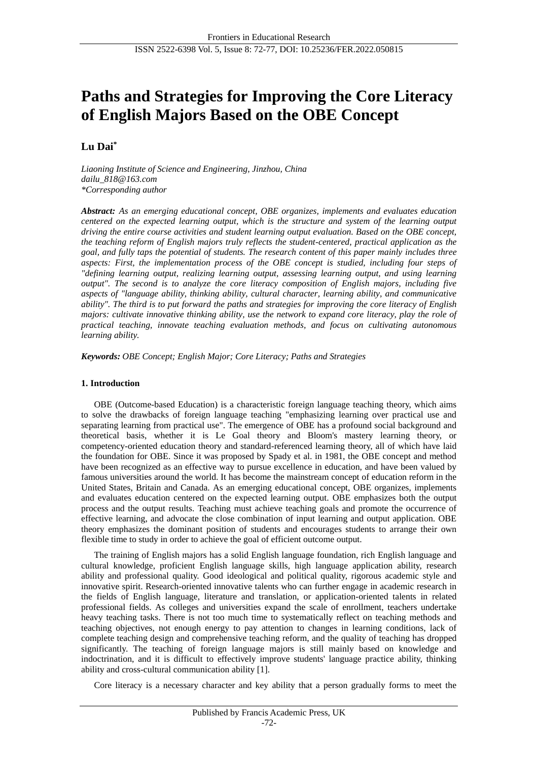# **Paths and Strategies for Improving the Core Literacy of English Majors Based on the OBE Concept**

# **Lu Dai\***

*Liaoning Institute of Science and Engineering, Jinzhou, China dailu\_818@163.com \*Corresponding author*

*Abstract: As an emerging educational concept, OBE organizes, implements and evaluates education centered on the expected learning output, which is the structure and system of the learning output driving the entire course activities and student learning output evaluation. Based on the OBE concept, the teaching reform of English majors truly reflects the student-centered, practical application as the goal, and fully taps the potential of students. The research content of this paper mainly includes three aspects: First, the implementation process of the OBE concept is studied, including four steps of "defining learning output, realizing learning output, assessing learning output, and using learning output". The second is to analyze the core literacy composition of English majors, including five aspects of "language ability, thinking ability, cultural character, learning ability, and communicative ability". The third is to put forward the paths and strategies for improving the core literacy of English majors: cultivate innovative thinking ability, use the network to expand core literacy, play the role of practical teaching, innovate teaching evaluation methods, and focus on cultivating autonomous learning ability.*

*Keywords: OBE Concept; English Major; Core Literacy; Paths and Strategies*

# **1. Introduction**

OBE (Outcome-based Education) is a characteristic foreign language teaching theory, which aims to solve the drawbacks of foreign language teaching "emphasizing learning over practical use and separating learning from practical use". The emergence of OBE has a profound social background and theoretical basis, whether it is Le Goal theory and Bloom's mastery learning theory, or competency-oriented education theory and standard-referenced learning theory, all of which have laid the foundation for OBE. Since it was proposed by Spady et al. in 1981, the OBE concept and method have been recognized as an effective way to pursue excellence in education, and have been valued by famous universities around the world. It has become the mainstream concept of education reform in the United States, Britain and Canada. As an emerging educational concept, OBE organizes, implements and evaluates education centered on the expected learning output. OBE emphasizes both the output process and the output results. Teaching must achieve teaching goals and promote the occurrence of effective learning, and advocate the close combination of input learning and output application. OBE theory emphasizes the dominant position of students and encourages students to arrange their own flexible time to study in order to achieve the goal of efficient outcome output.

The training of English majors has a solid English language foundation, rich English language and cultural knowledge, proficient English language skills, high language application ability, research ability and professional quality. Good ideological and political quality, rigorous academic style and innovative spirit. Research-oriented innovative talents who can further engage in academic research in the fields of English language, literature and translation, or application-oriented talents in related professional fields. As colleges and universities expand the scale of enrollment, teachers undertake heavy teaching tasks. There is not too much time to systematically reflect on teaching methods and teaching objectives, not enough energy to pay attention to changes in learning conditions, lack of complete teaching design and comprehensive teaching reform, and the quality of teaching has dropped significantly. The teaching of foreign language majors is still mainly based on knowledge and indoctrination, and it is difficult to effectively improve students' language practice ability, thinking ability and cross-cultural communication ability [1].

Core literacy is a necessary character and key ability that a person gradually forms to meet the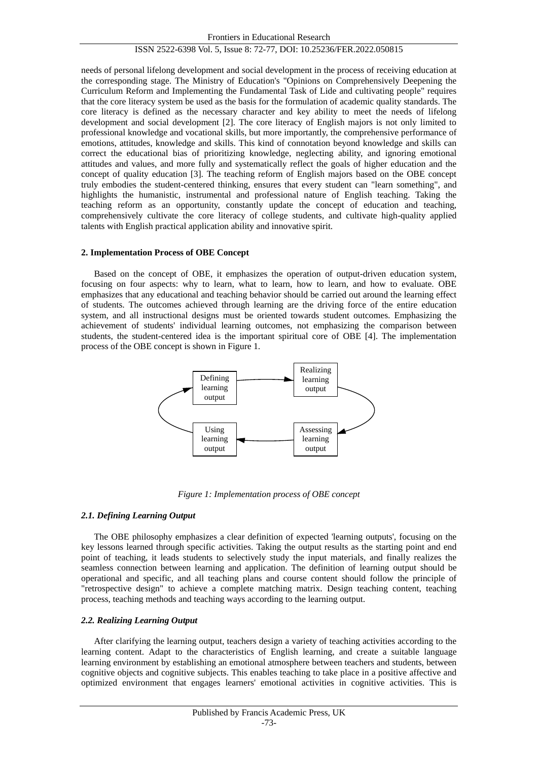needs of personal lifelong development and social development in the process of receiving education at the corresponding stage. The Ministry of Education's "Opinions on Comprehensively Deepening the Curriculum Reform and Implementing the Fundamental Task of Lide and cultivating people" requires that the core literacy system be used as the basis for the formulation of academic quality standards. The core literacy is defined as the necessary character and key ability to meet the needs of lifelong development and social development [2]. The core literacy of English majors is not only limited to professional knowledge and vocational skills, but more importantly, the comprehensive performance of emotions, attitudes, knowledge and skills. This kind of connotation beyond knowledge and skills can correct the educational bias of prioritizing knowledge, neglecting ability, and ignoring emotional attitudes and values, and more fully and systematically reflect the goals of higher education and the concept of quality education [3]. The teaching reform of English majors based on the OBE concept truly embodies the student-centered thinking, ensures that every student can "learn something", and highlights the humanistic, instrumental and professional nature of English teaching. Taking the teaching reform as an opportunity, constantly update the concept of education and teaching, comprehensively cultivate the core literacy of college students, and cultivate high-quality applied talents with English practical application ability and innovative spirit.

#### **2. Implementation Process of OBE Concept**

Based on the concept of OBE, it emphasizes the operation of output-driven education system, focusing on four aspects: why to learn, what to learn, how to learn, and how to evaluate. OBE emphasizes that any educational and teaching behavior should be carried out around the learning effect of students. The outcomes achieved through learning are the driving force of the entire education system, and all instructional designs must be oriented towards student outcomes. Emphasizing the achievement of students' individual learning outcomes, not emphasizing the comparison between students, the student-centered idea is the important spiritual core of OBE [4]. The implementation process of the OBE concept is shown in Figure 1.



*Figure 1: Implementation process of OBE concept*

#### *2.1. Defining Learning Output*

The OBE philosophy emphasizes a clear definition of expected 'learning outputs', focusing on the key lessons learned through specific activities. Taking the output results as the starting point and end point of teaching, it leads students to selectively study the input materials, and finally realizes the seamless connection between learning and application. The definition of learning output should be operational and specific, and all teaching plans and course content should follow the principle of "retrospective design" to achieve a complete matching matrix. Design teaching content, teaching process, teaching methods and teaching ways according to the learning output.

#### *2.2. Realizing Learning Output*

After clarifying the learning output, teachers design a variety of teaching activities according to the learning content. Adapt to the characteristics of English learning, and create a suitable language learning environment by establishing an emotional atmosphere between teachers and students, between cognitive objects and cognitive subjects. This enables teaching to take place in a positive affective and optimized environment that engages learners' emotional activities in cognitive activities. This is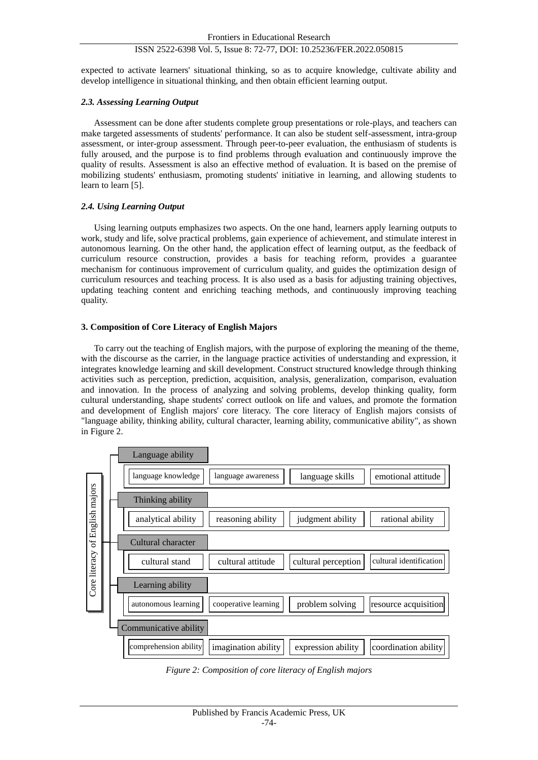expected to activate learners' situational thinking, so as to acquire knowledge, cultivate ability and develop intelligence in situational thinking, and then obtain efficient learning output.

#### *2.3. Assessing Learning Output*

Assessment can be done after students complete group presentations or role-plays, and teachers can make targeted assessments of students' performance. It can also be student self-assessment, intra-group assessment, or inter-group assessment. Through peer-to-peer evaluation, the enthusiasm of students is fully aroused, and the purpose is to find problems through evaluation and continuously improve the quality of results. Assessment is also an effective method of evaluation. It is based on the premise of mobilizing students' enthusiasm, promoting students' initiative in learning, and allowing students to learn to learn [5].

#### *2.4. Using Learning Output*

Using learning outputs emphasizes two aspects. On the one hand, learners apply learning outputs to work, study and life, solve practical problems, gain experience of achievement, and stimulate interest in autonomous learning. On the other hand, the application effect of learning output, as the feedback of curriculum resource construction, provides a basis for teaching reform, provides a guarantee mechanism for continuous improvement of curriculum quality, and guides the optimization design of curriculum resources and teaching process. It is also used as a basis for adjusting training objectives, updating teaching content and enriching teaching methods, and continuously improving teaching quality.

#### **3. Composition of Core Literacy of English Majors**

To carry out the teaching of English majors, with the purpose of exploring the meaning of the theme, with the discourse as the carrier, in the language practice activities of understanding and expression, it integrates knowledge learning and skill development. Construct structured knowledge through thinking activities such as perception, prediction, acquisition, analysis, generalization, comparison, evaluation and innovation. In the process of analyzing and solving problems, develop thinking quality, form cultural understanding, shape students' correct outlook on life and values, and promote the formation and development of English majors' core literacy. The core literacy of English majors consists of "language ability, thinking ability, cultural character, learning ability, communicative ability", as shown in Figure 2.



*Figure 2: Composition of core literacy of English majors*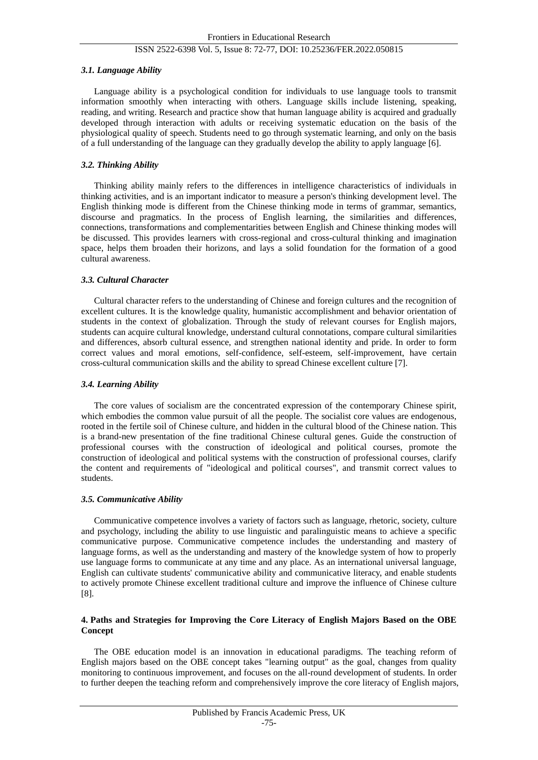## *3.1. Language Ability*

Language ability is a psychological condition for individuals to use language tools to transmit information smoothly when interacting with others. Language skills include listening, speaking, reading, and writing. Research and practice show that human language ability is acquired and gradually developed through interaction with adults or receiving systematic education on the basis of the physiological quality of speech. Students need to go through systematic learning, and only on the basis of a full understanding of the language can they gradually develop the ability to apply language [6].

# *3.2. Thinking Ability*

Thinking ability mainly refers to the differences in intelligence characteristics of individuals in thinking activities, and is an important indicator to measure a person's thinking development level. The English thinking mode is different from the Chinese thinking mode in terms of grammar, semantics, discourse and pragmatics. In the process of English learning, the similarities and differences, connections, transformations and complementarities between English and Chinese thinking modes will be discussed. This provides learners with cross-regional and cross-cultural thinking and imagination space, helps them broaden their horizons, and lays a solid foundation for the formation of a good cultural awareness.

#### *3.3. Cultural Character*

Cultural character refers to the understanding of Chinese and foreign cultures and the recognition of excellent cultures. It is the knowledge quality, humanistic accomplishment and behavior orientation of students in the context of globalization. Through the study of relevant courses for English majors, students can acquire cultural knowledge, understand cultural connotations, compare cultural similarities and differences, absorb cultural essence, and strengthen national identity and pride. In order to form correct values and moral emotions, self-confidence, self-esteem, self-improvement, have certain cross-cultural communication skills and the ability to spread Chinese excellent culture [7].

#### *3.4. Learning Ability*

The core values of socialism are the concentrated expression of the contemporary Chinese spirit, which embodies the common value pursuit of all the people. The socialist core values are endogenous, rooted in the fertile soil of Chinese culture, and hidden in the cultural blood of the Chinese nation. This is a brand-new presentation of the fine traditional Chinese cultural genes. Guide the construction of professional courses with the construction of ideological and political courses, promote the construction of ideological and political systems with the construction of professional courses, clarify the content and requirements of "ideological and political courses", and transmit correct values to students.

#### *3.5. Communicative Ability*

Communicative competence involves a variety of factors such as language, rhetoric, society, culture and psychology, including the ability to use linguistic and paralinguistic means to achieve a specific communicative purpose. Communicative competence includes the understanding and mastery of language forms, as well as the understanding and mastery of the knowledge system of how to properly use language forms to communicate at any time and any place. As an international universal language, English can cultivate students' communicative ability and communicative literacy, and enable students to actively promote Chinese excellent traditional culture and improve the influence of Chinese culture [8].

# **4. Paths and Strategies for Improving the Core Literacy of English Majors Based on the OBE Concept**

The OBE education model is an innovation in educational paradigms. The teaching reform of English majors based on the OBE concept takes "learning output" as the goal, changes from quality monitoring to continuous improvement, and focuses on the all-round development of students. In order to further deepen the teaching reform and comprehensively improve the core literacy of English majors,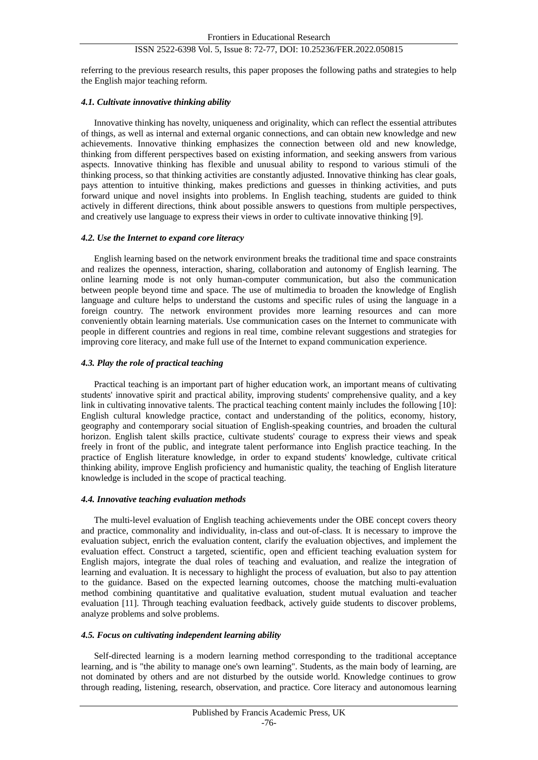referring to the previous research results, this paper proposes the following paths and strategies to help the English major teaching reform.

## *4.1. Cultivate innovative thinking ability*

Innovative thinking has novelty, uniqueness and originality, which can reflect the essential attributes of things, as well as internal and external organic connections, and can obtain new knowledge and new achievements. Innovative thinking emphasizes the connection between old and new knowledge, thinking from different perspectives based on existing information, and seeking answers from various aspects. Innovative thinking has flexible and unusual ability to respond to various stimuli of the thinking process, so that thinking activities are constantly adjusted. Innovative thinking has clear goals, pays attention to intuitive thinking, makes predictions and guesses in thinking activities, and puts forward unique and novel insights into problems. In English teaching, students are guided to think actively in different directions, think about possible answers to questions from multiple perspectives, and creatively use language to express their views in order to cultivate innovative thinking [9].

#### *4.2. Use the Internet to expand core literacy*

English learning based on the network environment breaks the traditional time and space constraints and realizes the openness, interaction, sharing, collaboration and autonomy of English learning. The online learning mode is not only human-computer communication, but also the communication between people beyond time and space. The use of multimedia to broaden the knowledge of English language and culture helps to understand the customs and specific rules of using the language in a foreign country. The network environment provides more learning resources and can more conveniently obtain learning materials. Use communication cases on the Internet to communicate with people in different countries and regions in real time, combine relevant suggestions and strategies for improving core literacy, and make full use of the Internet to expand communication experience.

# *4.3. Play the role of practical teaching*

Practical teaching is an important part of higher education work, an important means of cultivating students' innovative spirit and practical ability, improving students' comprehensive quality, and a key link in cultivating innovative talents. The practical teaching content mainly includes the following [10]: English cultural knowledge practice, contact and understanding of the politics, economy, history, geography and contemporary social situation of English-speaking countries, and broaden the cultural horizon. English talent skills practice, cultivate students' courage to express their views and speak freely in front of the public, and integrate talent performance into English practice teaching. In the practice of English literature knowledge, in order to expand students' knowledge, cultivate critical thinking ability, improve English proficiency and humanistic quality, the teaching of English literature knowledge is included in the scope of practical teaching.

#### *4.4. Innovative teaching evaluation methods*

The multi-level evaluation of English teaching achievements under the OBE concept covers theory and practice, commonality and individuality, in-class and out-of-class. It is necessary to improve the evaluation subject, enrich the evaluation content, clarify the evaluation objectives, and implement the evaluation effect. Construct a targeted, scientific, open and efficient teaching evaluation system for English majors, integrate the dual roles of teaching and evaluation, and realize the integration of learning and evaluation. It is necessary to highlight the process of evaluation, but also to pay attention to the guidance. Based on the expected learning outcomes, choose the matching multi-evaluation method combining quantitative and qualitative evaluation, student mutual evaluation and teacher evaluation [11]. Through teaching evaluation feedback, actively guide students to discover problems, analyze problems and solve problems.

# *4.5. Focus on cultivating independent learning ability*

Self-directed learning is a modern learning method corresponding to the traditional acceptance learning, and is "the ability to manage one's own learning". Students, as the main body of learning, are not dominated by others and are not disturbed by the outside world. Knowledge continues to grow through reading, listening, research, observation, and practice. Core literacy and autonomous learning